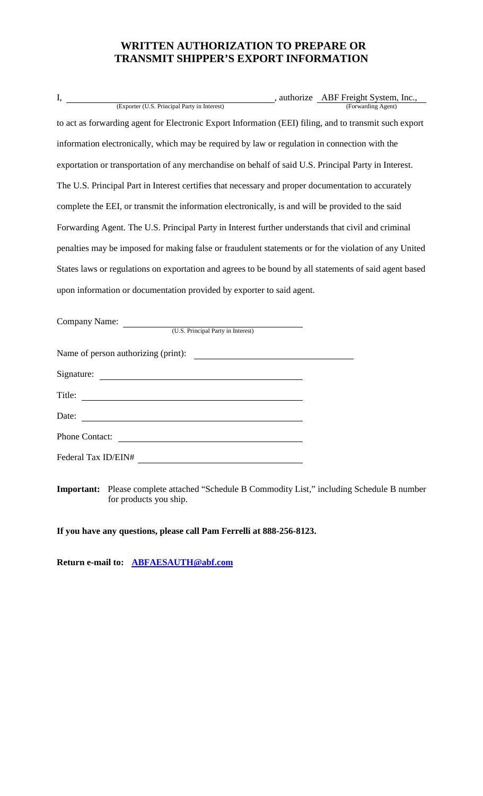## **WRITTEN AUTHORIZATION TO PREPARE OR TRANSMIT SHIPPER'S EXPORT INFORMATION**

| I,                                                                                                     |  | , authorize ABF Freight System, Inc., |  |  |
|--------------------------------------------------------------------------------------------------------|--|---------------------------------------|--|--|
| (Exporter (U.S. Principal Party in Interest)                                                           |  | (Forwarding Agent)                    |  |  |
| to act as forwarding agent for Electronic Export Information (EEI) filing, and to transmit such export |  |                                       |  |  |
| information electronically, which may be required by law or regulation in connection with the          |  |                                       |  |  |
| exportation or transportation of any merchandise on behalf of said U.S. Principal Party in Interest.   |  |                                       |  |  |
| The U.S. Principal Part in Interest certifies that necessary and proper documentation to accurately    |  |                                       |  |  |
| complete the EEI, or transmit the information electronically, is and will be provided to the said      |  |                                       |  |  |
| Forwarding Agent. The U.S. Principal Party in Interest further understands that civil and criminal     |  |                                       |  |  |
| penalties may be imposed for making false or fraudulent statements or for the violation of any United  |  |                                       |  |  |
| States laws or regulations on exportation and agrees to be bound by all statements of said agent based |  |                                       |  |  |
| upon information or documentation provided by exporter to said agent.                                  |  |                                       |  |  |

Company Name:

(U.S. Principal Party in Interest)

Name of person authorizing (print):

Signature:

Title:

Date:

Phone Contact:

Federal Tax ID/EIN#

**Important:** Please complete attached "Schedule B Commodity List," including Schedule B number for products you ship.

## **If you have any questions, please call Pam Ferrelli at 888-256-8123.**

**Return e-mail to: ABFAESAUTH@abf.com**